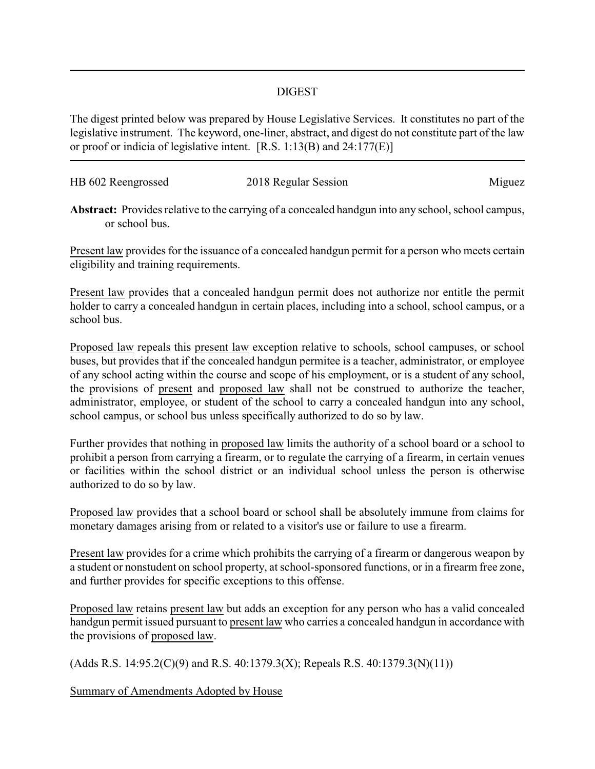## DIGEST

The digest printed below was prepared by House Legislative Services. It constitutes no part of the legislative instrument. The keyword, one-liner, abstract, and digest do not constitute part of the law or proof or indicia of legislative intent. [R.S. 1:13(B) and 24:177(E)]

| HB 602 Reengrossed | 2018 Regular Session | Miguez |
|--------------------|----------------------|--------|
|                    |                      |        |

**Abstract:** Provides relative to the carrying of a concealed handgun into any school, school campus, or school bus.

Present law provides for the issuance of a concealed handgun permit for a person who meets certain eligibility and training requirements.

Present law provides that a concealed handgun permit does not authorize nor entitle the permit holder to carry a concealed handgun in certain places, including into a school, school campus, or a school bus.

Proposed law repeals this present law exception relative to schools, school campuses, or school buses, but provides that if the concealed handgun permitee is a teacher, administrator, or employee of any school acting within the course and scope of his employment, or is a student of any school, the provisions of present and proposed law shall not be construed to authorize the teacher, administrator, employee, or student of the school to carry a concealed handgun into any school, school campus, or school bus unless specifically authorized to do so by law.

Further provides that nothing in proposed law limits the authority of a school board or a school to prohibit a person from carrying a firearm, or to regulate the carrying of a firearm, in certain venues or facilities within the school district or an individual school unless the person is otherwise authorized to do so by law.

Proposed law provides that a school board or school shall be absolutely immune from claims for monetary damages arising from or related to a visitor's use or failure to use a firearm.

Present law provides for a crime which prohibits the carrying of a firearm or dangerous weapon by a student or nonstudent on school property, at school-sponsored functions, or in a firearm free zone, and further provides for specific exceptions to this offense.

Proposed law retains present law but adds an exception for any person who has a valid concealed handgun permit issued pursuant to present law who carries a concealed handgun in accordance with the provisions of proposed law.

(Adds R.S. 14:95.2(C)(9) and R.S. 40:1379.3(X); Repeals R.S. 40:1379.3(N)(11))

Summary of Amendments Adopted by House